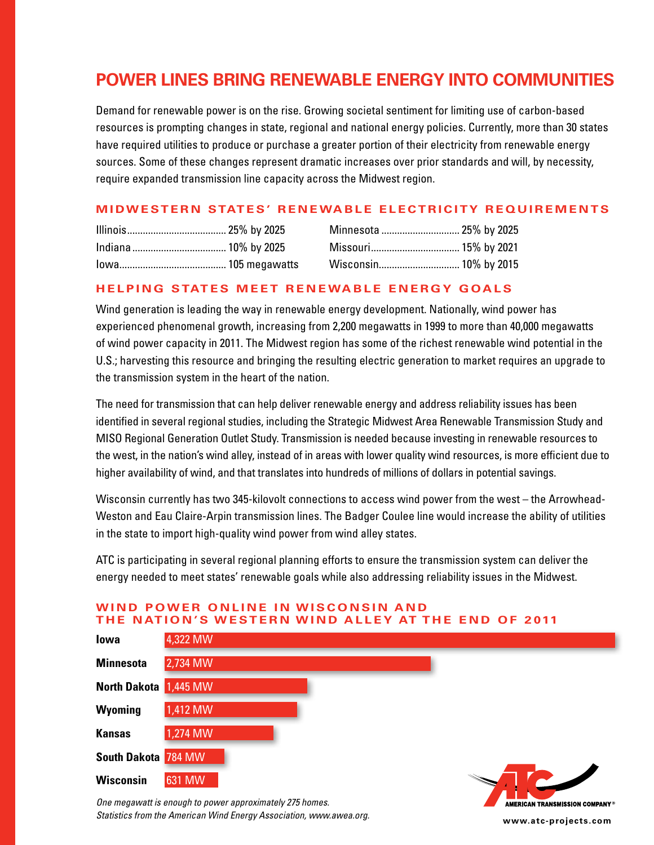# **POWER LINES BRING RENEWABLE ENERGY INTO COMMUNITIES**

Demand for renewable power is on the rise. Growing societal sentiment for limiting use of carbon-based resources is prompting changes in state, regional and national energy policies. Currently, more than 30 states have required utilities to produce or purchase a greater portion of their electricity from renewable energy sources. Some of these changes represent dramatic increases over prior standards and will, by necessity, require expanded transmission line capacity across the Midwest region.

# **MIDWESTERN STATES' RENEWABLE ELECTRICITY REQUIREMENTS**

|  | Minnesota  25% by 2025 |  |
|--|------------------------|--|
|  |                        |  |
|  |                        |  |

# **HELPING STATES MEET RENEWABLE ENERGY GOALS**

Wind generation is leading the way in renewable energy development. Nationally, wind power has experienced phenomenal growth, increasing from 2,200 megawatts in 1999 to more than 40,000 megawatts of wind power capacity in 2011. The Midwest region has some of the richest renewable wind potential in the U.S.; harvesting this resource and bringing the resulting electric generation to market requires an upgrade to the transmission system in the heart of the nation.

The need for transmission that can help deliver renewable energy and address reliability issues has been identified in several regional studies, including the Strategic Midwest Area Renewable Transmission Study and MISO Regional Generation Outlet Study. Transmission is needed because investing in renewable resources to the west, in the nation's wind alley, instead of in areas with lower quality wind resources, is more efficient due to higher availability of wind, and that translates into hundreds of millions of dollars in potential savings.

Wisconsin currently has two 345-kilovolt connections to access wind power from the west – the Arrowhead-Weston and Eau Claire-Arpin transmission lines. The Badger Coulee line would increase the ability of utilities in the state to import high-quality wind power from wind alley states.

ATC is participating in several regional planning efforts to ensure the transmission system can deliver the energy needed to meet states' renewable goals while also addressing reliability issues in the Midwest.



*One megawatt is enough to power approximately 275 homes. Statistics from the American Wind Energy Association, www.awea.org.*

AMERICAN TRANSMISSION COMPANY® **www.atc-projects.com**